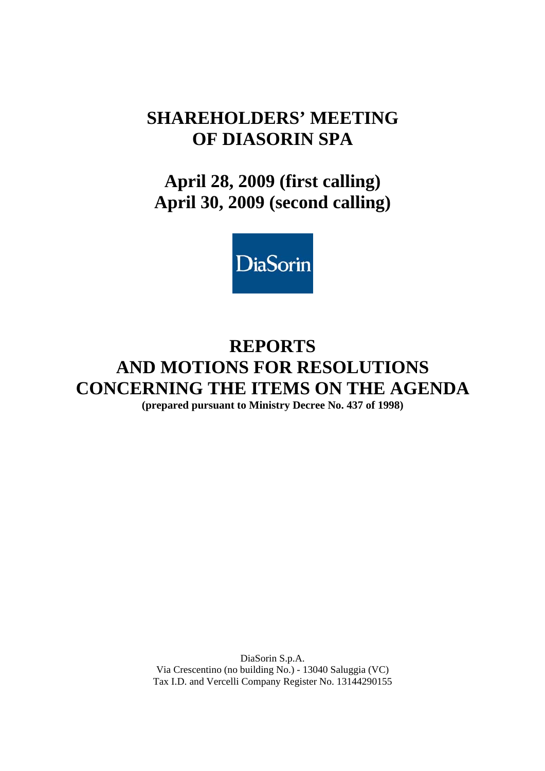# **SHAREHOLDERS' MEETING OF DIASORIN SPA**

**April 28, 2009 (first calling) April 30, 2009 (second calling)** 



# **REPORTS AND MOTIONS FOR RESOLUTIONS CONCERNING THE ITEMS ON THE AGENDA (prepared pursuant to Ministry Decree No. 437 of 1998)**

DiaSorin S.p.A. Via Crescentino (no building No.) - 13040 Saluggia (VC) Tax I.D. and Vercelli Company Register No. 13144290155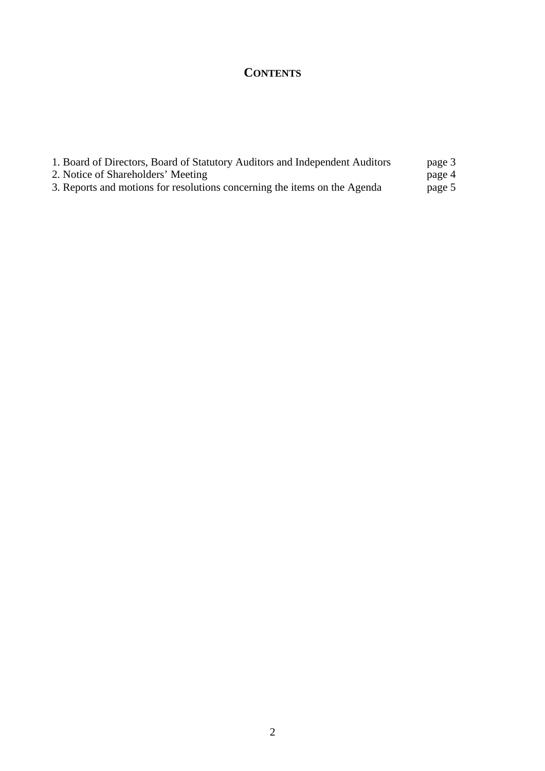## **CONTENTS**

| 1. Board of Directors, Board of Statutory Auditors and Independent Auditors | page 3 |
|-----------------------------------------------------------------------------|--------|
| 2. Notice of Shareholders' Meeting                                          | page 4 |
| 3. Reports and motions for resolutions concerning the items on the Agenda   | page 5 |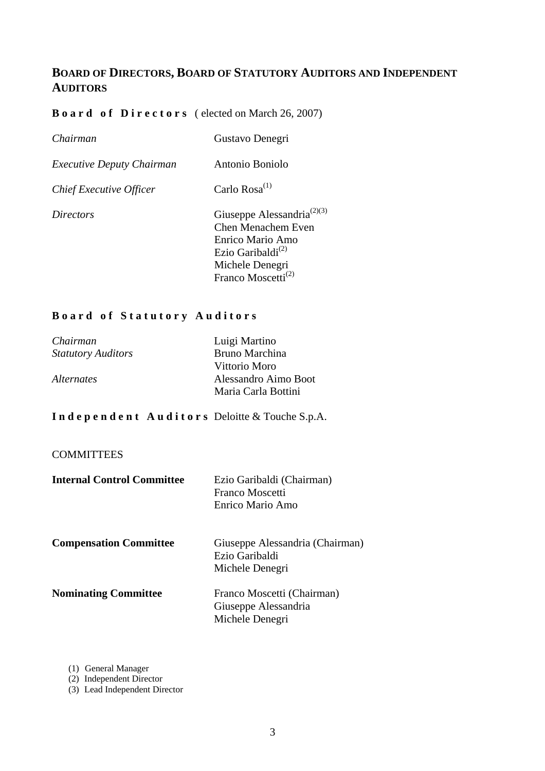## **BOARD OF DIRECTORS, BOARD OF STATUTORY AUDITORS AND INDEPENDENT AUDITORS**

## **Board of Directors** ( elected on March 26, 2007)

| Chairman                         | Gustavo Denegri                                                                                                                                                        |
|----------------------------------|------------------------------------------------------------------------------------------------------------------------------------------------------------------------|
| <i>Executive Deputy Chairman</i> | Antonio Boniolo                                                                                                                                                        |
| <b>Chief Executive Officer</b>   | Carlo Rosa <sup>(1)</sup>                                                                                                                                              |
| Directors                        | Giuseppe Alessandria <sup>(2)(3)</sup><br>Chen Menachem Even<br>Enrico Mario Amo<br>Ezio Garibaldi <sup>(2)</sup><br>Michele Denegri<br>Franco Moscetti <sup>(2)</sup> |

#### **Board of Statutory Auditors**

| Chairman                  | Luigi Martino        |
|---------------------------|----------------------|
| <b>Statutory Auditors</b> | Bruno Marchina       |
|                           | Vittorio Moro        |
| <i>Alternates</i>         | Alessandro Aimo Boot |
|                           | Maria Carla Bottini  |

## **Independent Auditors** Deloitte & Touche S.p.A.

#### **COMMITTEES**

| <b>Internal Control Committee</b> | Ezio Garibaldi (Chairman)<br>Franco Moscetti<br>Enrico Mario Amo      |
|-----------------------------------|-----------------------------------------------------------------------|
| <b>Compensation Committee</b>     | Giuseppe Alessandria (Chairman)<br>Ezio Garibaldi<br>Michele Denegri  |
| <b>Nominating Committee</b>       | Franco Moscetti (Chairman)<br>Giuseppe Alessandria<br>Michele Denegri |

(1) General Manager

(2) Independent Director

(3) Lead Independent Director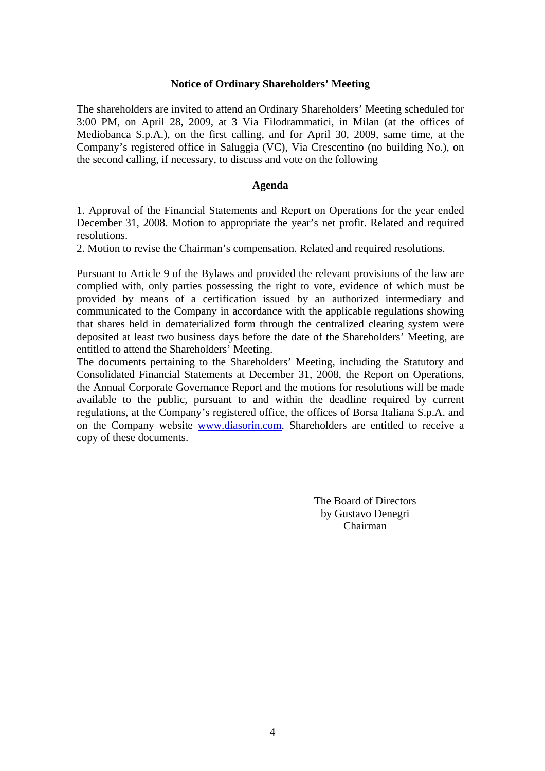#### **Notice of Ordinary Shareholders' Meeting**

The shareholders are invited to attend an Ordinary Shareholders' Meeting scheduled for 3:00 PM, on April 28, 2009, at 3 Via Filodrammatici, in Milan (at the offices of Mediobanca S.p.A.), on the first calling, and for April 30, 2009, same time, at the Company's registered office in Saluggia (VC), Via Crescentino (no building No.), on the second calling, if necessary, to discuss and vote on the following

#### **Agenda**

1. Approval of the Financial Statements and Report on Operations for the year ended December 31, 2008. Motion to appropriate the year's net profit. Related and required resolutions.

2. Motion to revise the Chairman's compensation. Related and required resolutions.

Pursuant to Article 9 of the Bylaws and provided the relevant provisions of the law are complied with, only parties possessing the right to vote, evidence of which must be provided by means of a certification issued by an authorized intermediary and communicated to the Company in accordance with the applicable regulations showing that shares held in dematerialized form through the centralized clearing system were deposited at least two business days before the date of the Shareholders' Meeting, are entitled to attend the Shareholders' Meeting.

The documents pertaining to the Shareholders' Meeting, including the Statutory and Consolidated Financial Statements at December 31, 2008, the Report on Operations, the Annual Corporate Governance Report and the motions for resolutions will be made available to the public, pursuant to and within the deadline required by current regulations, at the Company's registered office, the offices of Borsa Italiana S.p.A. and on the Company website [www.diasorin.com](http://www.diasorin.com/). Shareholders are entitled to receive a copy of these documents.

> The Board of Directors by Gustavo Denegri Chairman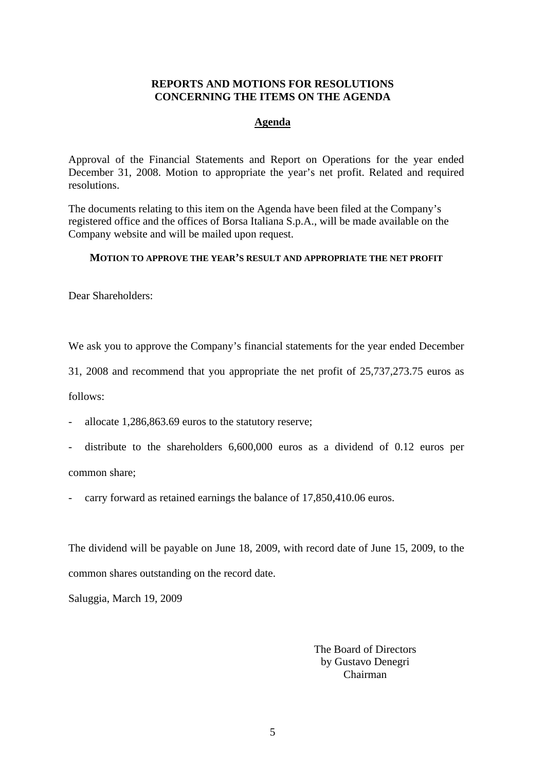#### **REPORTS AND MOTIONS FOR RESOLUTIONS CONCERNING THE ITEMS ON THE AGENDA**

#### **Agenda**

Approval of the Financial Statements and Report on Operations for the year ended December 31, 2008. Motion to appropriate the year's net profit. Related and required resolutions.

The documents relating to this item on the Agenda have been filed at the Company's registered office and the offices of Borsa Italiana S.p.A., will be made available on the Company website and will be mailed upon request.

#### **MOTION TO APPROVE THE YEAR'S RESULT AND APPROPRIATE THE NET PROFIT**

Dear Shareholders:

We ask you to approve the Company's financial statements for the year ended December

31, 2008 and recommend that you appropriate the net profit of 25,737,273.75 euros as

follows:

- allocate 1,286,863.69 euros to the statutory reserve;
- distribute to the shareholders 6,600,000 euros as a dividend of 0.12 euros per common share;

carry forward as retained earnings the balance of 17,850,410.06 euros.

The dividend will be payable on June 18, 2009, with record date of June 15, 2009, to the common shares outstanding on the record date.

Saluggia, March 19, 2009

The Board of Directors by Gustavo Denegri Chairman